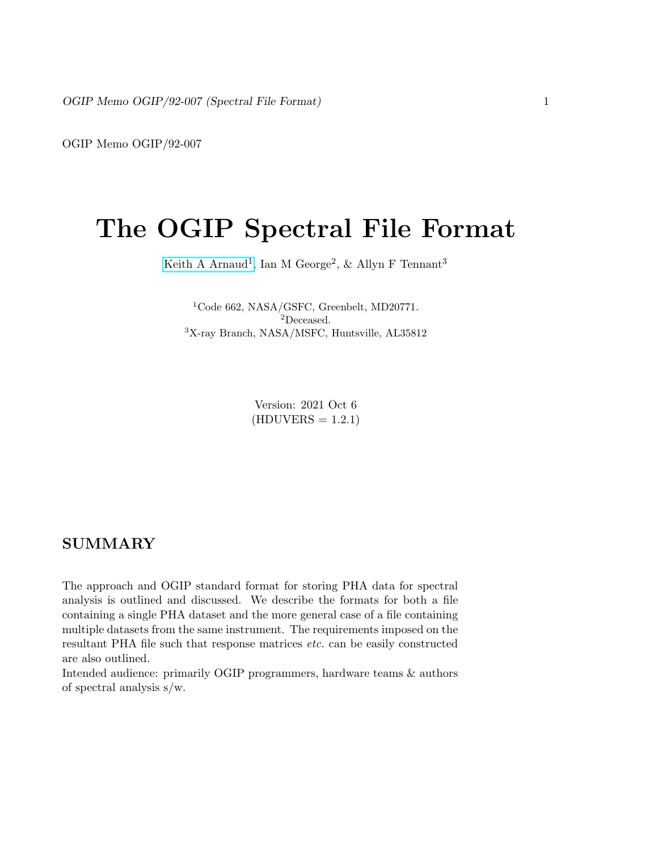OGIP Memo OGIP/92-007

# The OGIP Spectral File Format

[Keith A Arnaud](https://asd.gsfc.nasa.gov/Keith.Arnaud/home.html)<sup>1</sup>, Ian M George<sup>2</sup>, & Allyn F Tennant<sup>3</sup>

<sup>1</sup>Code 662, NASA/GSFC, Greenbelt, MD20771. <sup>2</sup>Deceased. <sup>3</sup>X-ray Branch, NASA/MSFC, Huntsville, AL35812

> Version: 2021 Oct 6  $(HDUVERS = 1.2.1)$

## **SUMMARY**

The approach and OGIP standard format for storing PHA data for spectral analysis is outlined and discussed. We describe the formats for both a file containing a single PHA dataset and the more general case of a file containing multiple datasets from the same instrument. The requirements imposed on the resultant PHA file such that response matrices etc. can be easily constructed are also outlined.

Intended audience: primarily OGIP programmers, hardware teams & authors of spectral analysis s/w.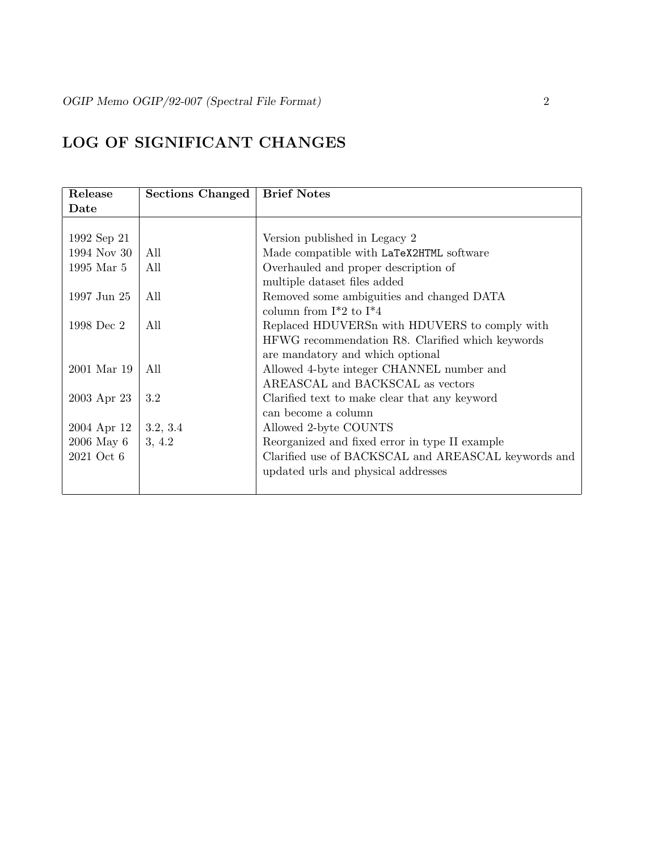# LOG OF SIGNIFICANT CHANGES

| Release     | <b>Sections Changed</b> | <b>Brief Notes</b>                                  |
|-------------|-------------------------|-----------------------------------------------------|
| Date        |                         |                                                     |
|             |                         |                                                     |
| 1992 Sep 21 |                         | Version published in Legacy 2                       |
| 1994 Nov 30 | All                     | Made compatible with LaTeX2HTML software            |
| 1995 Mar 5  | All                     | Overhauled and proper description of                |
|             |                         | multiple dataset files added                        |
| 1997 Jun 25 | All                     | Removed some ambiguities and changed DATA           |
|             |                         | column from $I^*2$ to $I^*4$                        |
| 1998 Dec 2  | All                     | Replaced HDUVERS with HDUVERS to comply with        |
|             |                         | HFWG recommendation R8. Clarified which keywords    |
|             |                         | are mandatory and which optional                    |
| 2001 Mar 19 | All                     | Allowed 4-byte integer CHANNEL number and           |
|             |                         | AREASCAL and BACKSCAL as vectors                    |
| 2003 Apr 23 | 3.2                     | Clarified text to make clear that any keyword       |
|             |                         | can become a column                                 |
| 2004 Apr 12 | 3.2, 3.4                | Allowed 2-byte COUNTS                               |
| 2006 May 6  | 3, 4.2                  | Reorganized and fixed error in type II example      |
| 2021 Oct 6  |                         | Clarified use of BACKSCAL and AREASCAL keywords and |
|             |                         | updated urls and physical addresses                 |
|             |                         |                                                     |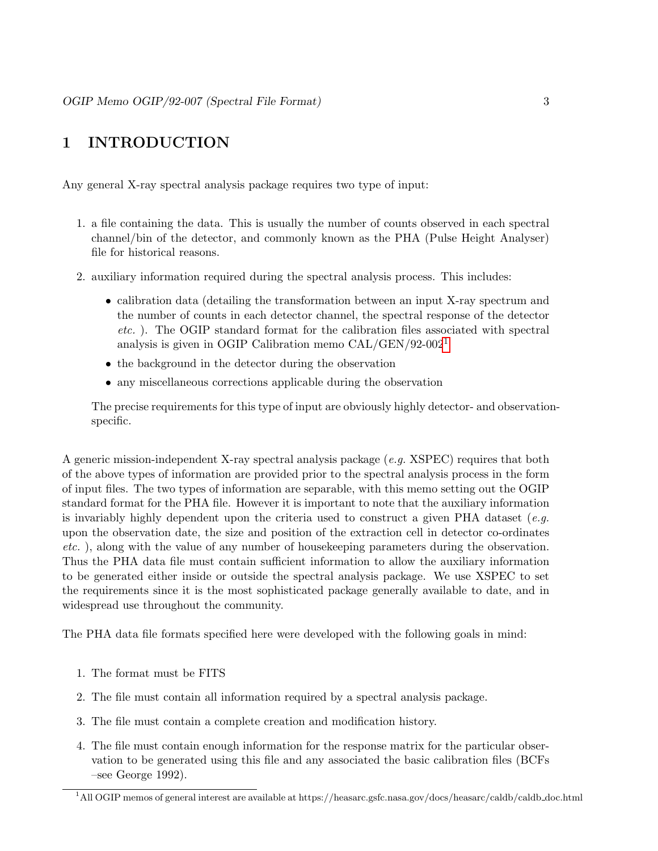# 1 INTRODUCTION

Any general X-ray spectral analysis package requires two type of input:

- 1. a file containing the data. This is usually the number of counts observed in each spectral channel/bin of the detector, and commonly known as the PHA (Pulse Height Analyser) file for historical reasons.
- 2. auxiliary information required during the spectral analysis process. This includes:
	- calibration data (detailing the transformation between an input X-ray spectrum and the number of counts in each detector channel, the spectral response of the detector etc. ). The OGIP standard format for the calibration files associated with spectral analysis is given in OGIP Calibration memo CAL/GEN/92-002[1](#page-2-0)
	- the background in the detector during the observation
	- any miscellaneous corrections applicable during the observation

The precise requirements for this type of input are obviously highly detector- and observationspecific.

A generic mission-independent X-ray spectral analysis package (e.g. XSPEC) requires that both of the above types of information are provided prior to the spectral analysis process in the form of input files. The two types of information are separable, with this memo setting out the OGIP standard format for the PHA file. However it is important to note that the auxiliary information is invariably highly dependent upon the criteria used to construct a given PHA dataset  $(e.g.$ upon the observation date, the size and position of the extraction cell in detector co-ordinates etc. ), along with the value of any number of housekeeping parameters during the observation. Thus the PHA data file must contain sufficient information to allow the auxiliary information to be generated either inside or outside the spectral analysis package. We use XSPEC to set the requirements since it is the most sophisticated package generally available to date, and in widespread use throughout the community.

The PHA data file formats specified here were developed with the following goals in mind:

- 1. The format must be FITS
- 2. The file must contain all information required by a spectral analysis package.
- 3. The file must contain a complete creation and modification history.
- 4. The file must contain enough information for the response matrix for the particular observation to be generated using this file and any associated the basic calibration files (BCFs –see George 1992).

<span id="page-2-0"></span><sup>&</sup>lt;sup>1</sup>All OGIP memos of general interest are available at https://heasarc.gsfc.nasa.gov/docs/heasarc/caldb/caldb\_doc.html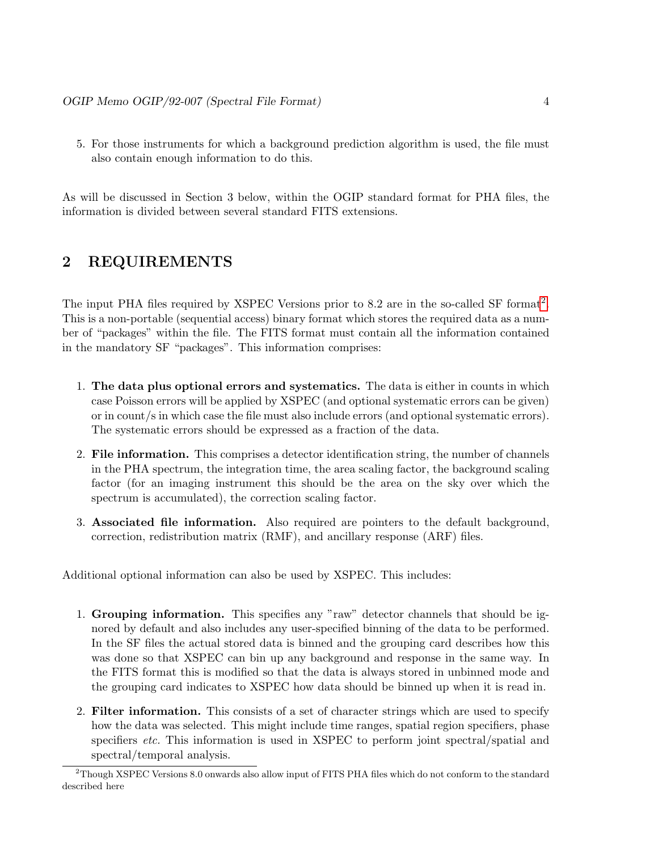5. For those instruments for which a background prediction algorithm is used, the file must also contain enough information to do this.

As will be discussed in Section 3 below, within the OGIP standard format for PHA files, the information is divided between several standard FITS extensions.

# 2 REQUIREMENTS

The input PHA files required by XSPEC Versions prior to 8.[2](#page-3-0) are in the so-called SF format<sup>2</sup>. This is a non-portable (sequential access) binary format which stores the required data as a number of "packages" within the file. The FITS format must contain all the information contained in the mandatory SF "packages". This information comprises:

- 1. The data plus optional errors and systematics. The data is either in counts in which case Poisson errors will be applied by XSPEC (and optional systematic errors can be given) or in count/s in which case the file must also include errors (and optional systematic errors). The systematic errors should be expressed as a fraction of the data.
- 2. File information. This comprises a detector identification string, the number of channels in the PHA spectrum, the integration time, the area scaling factor, the background scaling factor (for an imaging instrument this should be the area on the sky over which the spectrum is accumulated), the correction scaling factor.
- 3. Associated file information. Also required are pointers to the default background, correction, redistribution matrix (RMF), and ancillary response (ARF) files.

Additional optional information can also be used by XSPEC. This includes:

- 1. Grouping information. This specifies any "raw" detector channels that should be ignored by default and also includes any user-specified binning of the data to be performed. In the SF files the actual stored data is binned and the grouping card describes how this was done so that XSPEC can bin up any background and response in the same way. In the FITS format this is modified so that the data is always stored in unbinned mode and the grouping card indicates to XSPEC how data should be binned up when it is read in.
- 2. Filter information. This consists of a set of character strings which are used to specify how the data was selected. This might include time ranges, spatial region specifiers, phase specifiers *etc.* This information is used in XSPEC to perform joint spectral/spatial and spectral/temporal analysis.

<span id="page-3-0"></span><sup>2</sup>Though XSPEC Versions 8.0 onwards also allow input of FITS PHA files which do not conform to the standard described here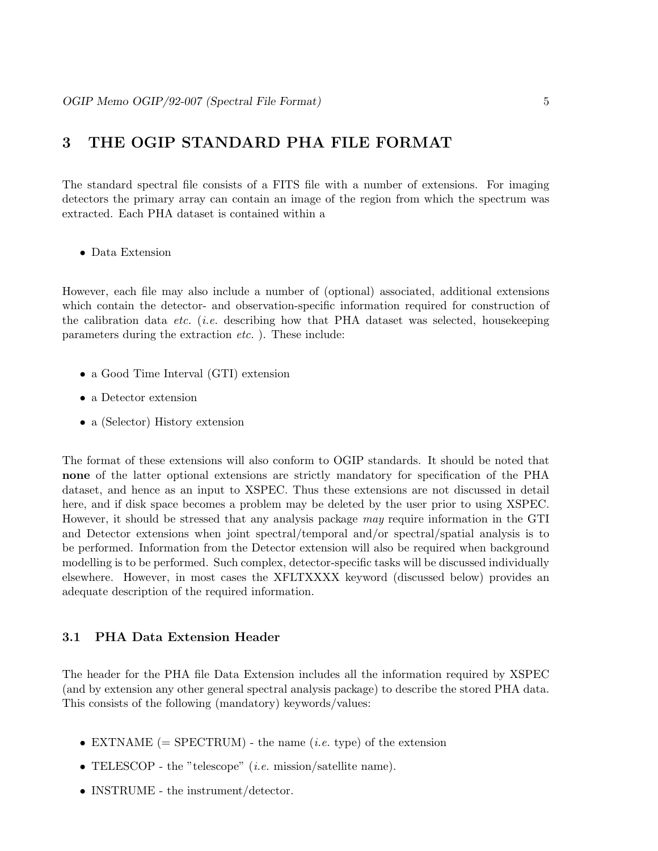# 3 THE OGIP STANDARD PHA FILE FORMAT

The standard spectral file consists of a FITS file with a number of extensions. For imaging detectors the primary array can contain an image of the region from which the spectrum was extracted. Each PHA dataset is contained within a

• Data Extension

However, each file may also include a number of (optional) associated, additional extensions which contain the detector- and observation-specific information required for construction of the calibration data *etc.* (*i.e.* describing how that PHA dataset was selected, housekeeping parameters during the extraction etc. ). These include:

- a Good Time Interval (GTI) extension
- a Detector extension
- a (Selector) History extension

The format of these extensions will also conform to OGIP standards. It should be noted that none of the latter optional extensions are strictly mandatory for specification of the PHA dataset, and hence as an input to XSPEC. Thus these extensions are not discussed in detail here, and if disk space becomes a problem may be deleted by the user prior to using XSPEC. However, it should be stressed that any analysis package may require information in the GTI and Detector extensions when joint spectral/temporal and/or spectral/spatial analysis is to be performed. Information from the Detector extension will also be required when background modelling is to be performed. Such complex, detector-specific tasks will be discussed individually elsewhere. However, in most cases the XFLTXXXX keyword (discussed below) provides an adequate description of the required information.

#### 3.1 PHA Data Extension Header

The header for the PHA file Data Extension includes all the information required by XSPEC (and by extension any other general spectral analysis package) to describe the stored PHA data. This consists of the following (mandatory) keywords/values:

- EXTNAME  $(=$  SPECTRUM $)$  the name (*i.e.* type) of the extension
- TELESCOP the "telescope" *(i.e.* mission/satellite name).
- INSTRUME the instrument/detector.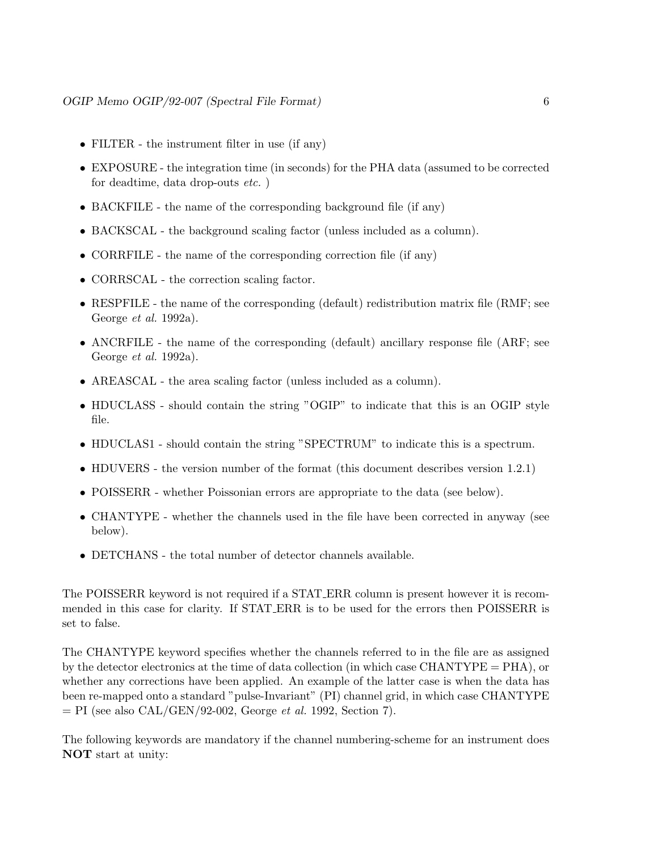- FILTER the instrument filter in use (if any)
- EXPOSURE the integration time (in seconds) for the PHA data (assumed to be corrected for deadtime, data drop-outs etc. )
- BACKFILE the name of the corresponding background file (if any)
- BACKSCAL the background scaling factor (unless included as a column).
- CORRFILE the name of the corresponding correction file (if any)
- CORRSCAL the correction scaling factor.
- RESPFILE the name of the corresponding (default) redistribution matrix file (RMF; see George et al. 1992a).
- ANCRFILE the name of the corresponding (default) ancillary response file (ARF; see George et al. 1992a).
- AREASCAL the area scaling factor (unless included as a column).
- HDUCLASS should contain the string "OGIP" to indicate that this is an OGIP style file.
- HDUCLAS1 should contain the string "SPECTRUM" to indicate this is a spectrum.
- HDUVERS the version number of the format (this document describes version 1.2.1)
- POISSERR whether Poissonian errors are appropriate to the data (see below).
- CHANTYPE whether the channels used in the file have been corrected in anyway (see below).
- DETCHANS the total number of detector channels available.

The POISSERR keyword is not required if a STAT ERR column is present however it is recommended in this case for clarity. If STAT ERR is to be used for the errors then POISSERR is set to false.

The CHANTYPE keyword specifies whether the channels referred to in the file are as assigned by the detector electronics at the time of data collection (in which case CHANTYPE = PHA), or whether any corrections have been applied. An example of the latter case is when the data has been re-mapped onto a standard "pulse-Invariant" (PI) channel grid, in which case CHANTYPE  $=$  PI (see also CAL/GEN/92-002, George *et al.* 1992, Section 7).

The following keywords are mandatory if the channel numbering-scheme for an instrument does NOT start at unity: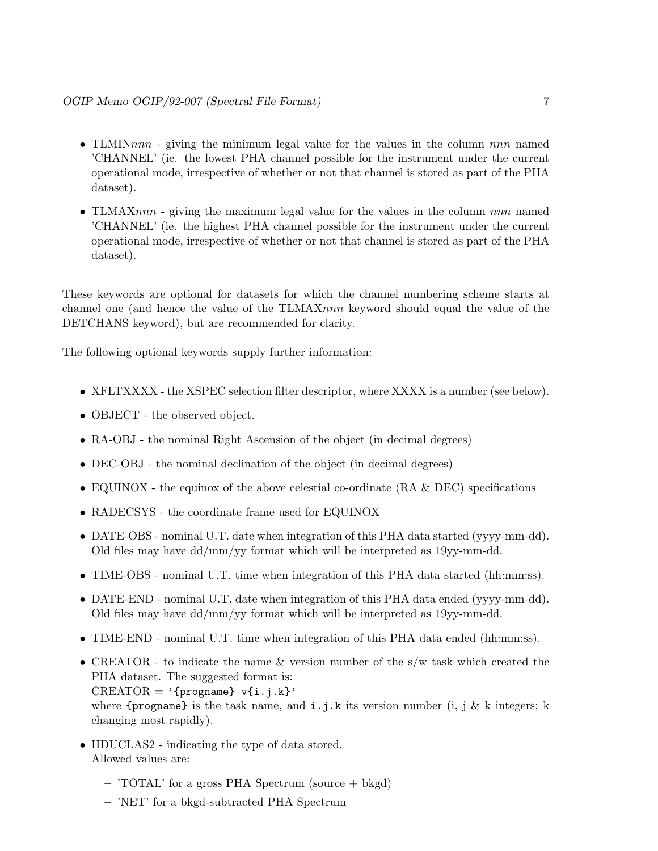- TLMIN $nnn$  giving the minimum legal value for the values in the column  $nnn$  named 'CHANNEL' (ie. the lowest PHA channel possible for the instrument under the current operational mode, irrespective of whether or not that channel is stored as part of the PHA dataset).
- TLMAXnnn giving the maximum legal value for the values in the column nnn named 'CHANNEL' (ie. the highest PHA channel possible for the instrument under the current operational mode, irrespective of whether or not that channel is stored as part of the PHA dataset).

These keywords are optional for datasets for which the channel numbering scheme starts at channel one (and hence the value of the TLMAXnnn keyword should equal the value of the DETCHANS keyword), but are recommended for clarity.

The following optional keywords supply further information:

- XFLTXXXX the XSPEC selection filter descriptor, where XXXX is a number (see below).
- OBJECT the observed object.
- RA-OBJ the nominal Right Ascension of the object (in decimal degrees)
- DEC-OBJ the nominal declination of the object (in decimal degrees)
- EQUINOX the equinox of the above celestial co-ordinate (RA & DEC) specifications
- RADECSYS the coordinate frame used for EQUINOX
- DATE-OBS nominal U.T. date when integration of this PHA data started (yyyy-mm-dd). Old files may have dd/mm/yy format which will be interpreted as 19yy-mm-dd.
- TIME-OBS nominal U.T. time when integration of this PHA data started (hh:mm:ss).
- DATE-END nominal U.T. date when integration of this PHA data ended (yyyy-mm-dd). Old files may have dd/mm/yy format which will be interpreted as 19yy-mm-dd.
- TIME-END nominal U.T. time when integration of this PHA data ended (hh:mm:ss).
- CREATOR to indicate the name & version number of the s/w task which created the PHA dataset. The suggested format is:  $CREATOR = '{propname} \ v{i.j.k}'$ where  ${progname}$  is the task name, and  $i, j, k$  its version number (i, j & k integers; k changing most rapidly).
- HDUCLAS2 indicating the type of data stored. Allowed values are:
	- 'TOTAL' for a gross PHA Spectrum (source + bkgd)
	- 'NET' for a bkgd-subtracted PHA Spectrum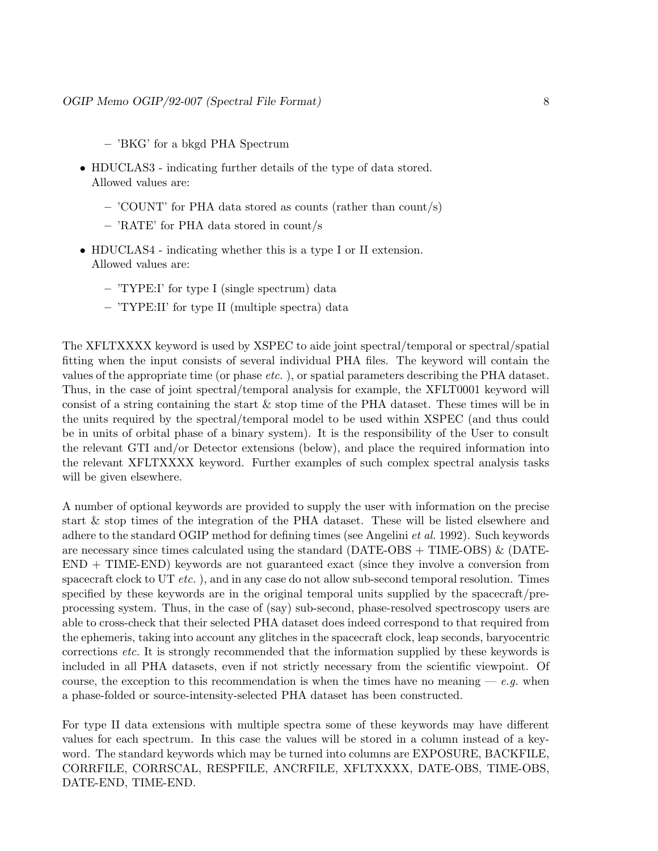- 'BKG' for a bkgd PHA Spectrum
- HDUCLAS3 indicating further details of the type of data stored. Allowed values are:
	- 'COUNT' for PHA data stored as counts (rather than count/s)
	- 'RATE' for PHA data stored in count/s
- HDUCLAS4 indicating whether this is a type I or II extension. Allowed values are:
	- 'TYPE:I' for type I (single spectrum) data
	- 'TYPE:II' for type II (multiple spectra) data

The XFLTXXXX keyword is used by XSPEC to aide joint spectral/temporal or spectral/spatial fitting when the input consists of several individual PHA files. The keyword will contain the values of the appropriate time (or phase etc. ), or spatial parameters describing the PHA dataset. Thus, in the case of joint spectral/temporal analysis for example, the XFLT0001 keyword will consist of a string containing the start & stop time of the PHA dataset. These times will be in the units required by the spectral/temporal model to be used within XSPEC (and thus could be in units of orbital phase of a binary system). It is the responsibility of the User to consult the relevant GTI and/or Detector extensions (below), and place the required information into the relevant XFLTXXXX keyword. Further examples of such complex spectral analysis tasks will be given elsewhere.

A number of optional keywords are provided to supply the user with information on the precise start & stop times of the integration of the PHA dataset. These will be listed elsewhere and adhere to the standard OGIP method for defining times (see Angelini et al. 1992). Such keywords are necessary since times calculated using the standard ( $\text{DATE-OBS}$  + TIME-OBS) & (DATE-END + TIME-END) keywords are not guaranteed exact (since they involve a conversion from spacecraft clock to UT  $etc.$ ), and in any case do not allow sub-second temporal resolution. Times specified by these keywords are in the original temporal units supplied by the spacecraft/preprocessing system. Thus, in the case of (say) sub-second, phase-resolved spectroscopy users are able to cross-check that their selected PHA dataset does indeed correspond to that required from the ephemeris, taking into account any glitches in the spacecraft clock, leap seconds, baryocentric corrections etc. It is strongly recommended that the information supplied by these keywords is included in all PHA datasets, even if not strictly necessary from the scientific viewpoint. Of course, the exception to this recommendation is when the times have no meaning  $-e.g.$  when a phase-folded or source-intensity-selected PHA dataset has been constructed.

For type II data extensions with multiple spectra some of these keywords may have different values for each spectrum. In this case the values will be stored in a column instead of a keyword. The standard keywords which may be turned into columns are EXPOSURE, BACKFILE, CORRFILE, CORRSCAL, RESPFILE, ANCRFILE, XFLTXXXX, DATE-OBS, TIME-OBS, DATE-END, TIME-END.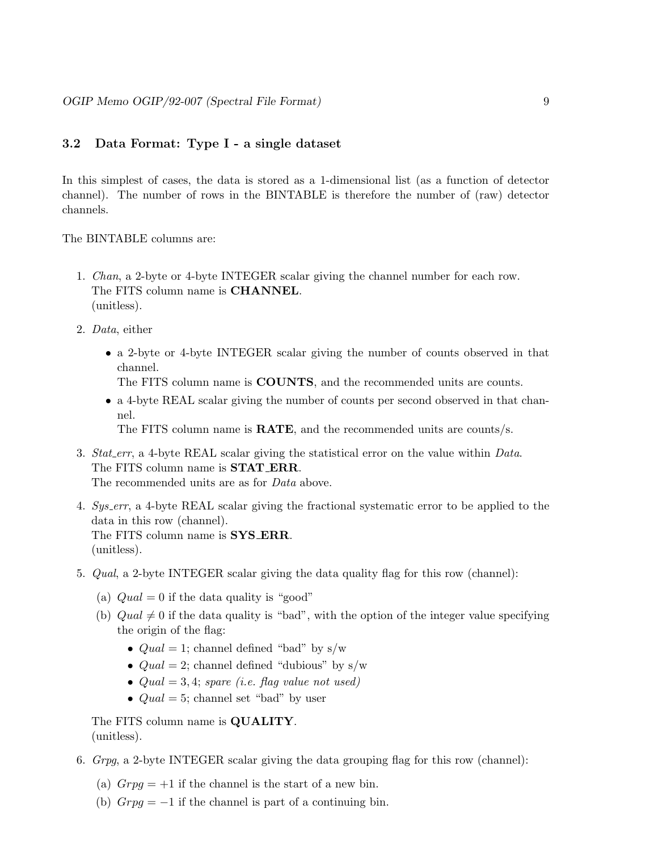#### 3.2 Data Format: Type I - a single dataset

In this simplest of cases, the data is stored as a 1-dimensional list (as a function of detector channel). The number of rows in the BINTABLE is therefore the number of (raw) detector channels.

The BINTABLE columns are:

- 1. Chan, a 2-byte or 4-byte INTEGER scalar giving the channel number for each row. The FITS column name is CHANNEL. (unitless).
- 2. Data, either
	- a 2-byte or 4-byte INTEGER scalar giving the number of counts observed in that channel.

The FITS column name is COUNTS, and the recommended units are counts.

• a 4-byte REAL scalar giving the number of counts per second observed in that channel.

The FITS column name is RATE, and the recommended units are counts/s.

- 3. Stat\_err, a 4-byte REAL scalar giving the statistical error on the value within Data. The FITS column name is **STAT\_ERR**. The recommended units are as for *Data* above.
- 4. Sys err, a 4-byte REAL scalar giving the fractional systematic error to be applied to the data in this row (channel). The FITS column name is **SYS\_ERR**. (unitless).
- 5. Qual, a 2-byte INTEGER scalar giving the data quality flag for this row (channel):
	- (a)  $Qual = 0$  if the data quality is "good"
	- (b)  $Quad \neq 0$  if the data quality is "bad", with the option of the integer value specifying the origin of the flag:
		- $Quad = 1$ ; channel defined "bad" by s/w
		- $Quad = 2$ ; channel defined "dubious" by s/w
		- $Quad = 3, 4$ ; spare (i.e. flag value not used)
		- $Quad = 5$ ; channel set "bad" by user

The FITS column name is **QUALITY**. (unitless).

- 6. Grpg, a 2-byte INTEGER scalar giving the data grouping flag for this row (channel):
	- (a)  $Grpg = +1$  if the channel is the start of a new bin.
	- (b)  $Grg = -1$  if the channel is part of a continuing bin.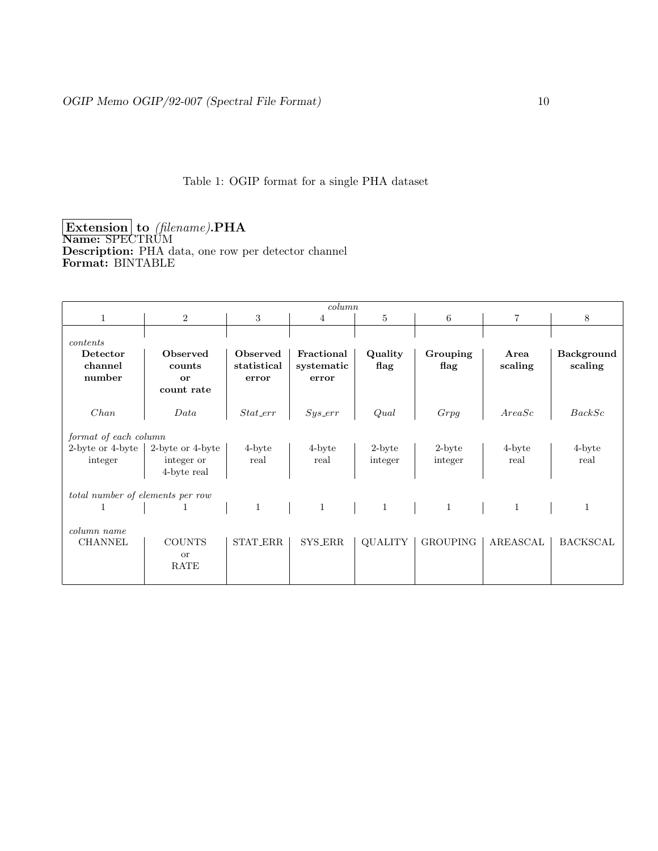# Table 1: OGIP format for a single PHA dataset

 $\bm{\mathrm{Extension}}$  to (filename).  $\bm{\mathrm{PHA}}$ Name: SPECTRUM Description: PHA data, one row per detector channel Format: BINTABLE

| column                                               |                                               |                                  |                                   |                   |                      |                 |                              |  |
|------------------------------------------------------|-----------------------------------------------|----------------------------------|-----------------------------------|-------------------|----------------------|-----------------|------------------------------|--|
| $\mathbf{1}$                                         | 2                                             | 3                                | $\overline{4}$                    | 5                 | 6                    | $\overline{7}$  | 8                            |  |
| contents                                             |                                               |                                  |                                   |                   |                      |                 |                              |  |
| Detector<br>channel<br>number                        | <b>Observed</b><br>counts<br>or<br>count rate | Observed<br>statistical<br>error | Fractional<br>systematic<br>error | Quality<br>flag   | Grouping<br>flag     | Area<br>scaling | <b>Background</b><br>scaling |  |
| Chan                                                 | Data                                          | $Stat\_err$                      | $Sys\_err$                        | Qual              | Grpg                 | AreaSc          | BackSc                       |  |
| format of each column<br>2-byte or 4-byte<br>integer | 2-byte or 4-byte<br>integer or<br>4-byte real | 4-byte<br>real                   | 4-byte<br>real                    | 2-byte<br>integer | $2$ -byte<br>integer | 4-byte<br>real  | 4-byte<br>real               |  |
| total number of elements per row                     |                                               |                                  |                                   |                   |                      |                 |                              |  |
| 1                                                    | 1                                             | $\mathbf{1}$                     | $\mathbf{1}$                      | $\overline{1}$    | $\mathbf{1}$         | $\mathbf{1}$    | 1                            |  |
| column name<br><b>CHANNEL</b>                        | <b>COUNTS</b><br><b>or</b><br>RATE            | STAT_ERR                         | SYS_ERR                           | <b>QUALITY</b>    | <b>GROUPING</b>      | AREASCAL        | <b>BACKSCAL</b>              |  |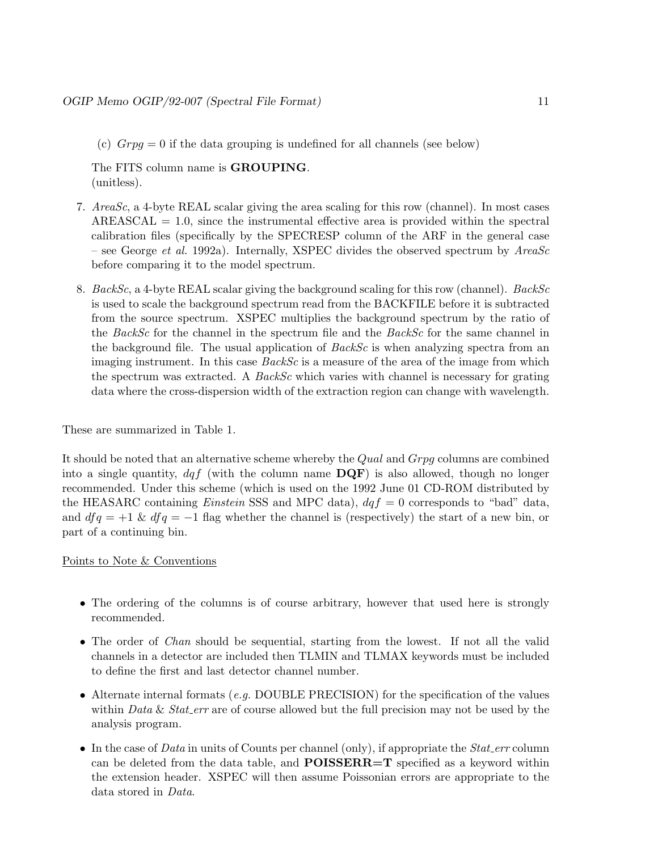(c)  $Grpg = 0$  if the data grouping is undefined for all channels (see below)

The FITS column name is GROUPING. (unitless).

- 7. AreaSc, a 4-byte REAL scalar giving the area scaling for this row (channel). In most cases  $AREASCAL = 1.0$ , since the instrumental effective area is provided within the spectral calibration files (specifically by the SPECRESP column of the ARF in the general case – see George et al. 1992a). Internally, XSPEC divides the observed spectrum by  $AreaSc$ before comparing it to the model spectrum.
- 8. BackSc, a 4-byte REAL scalar giving the background scaling for this row (channel). BackSc is used to scale the background spectrum read from the BACKFILE before it is subtracted from the source spectrum. XSPEC multiplies the background spectrum by the ratio of the BackSc for the channel in the spectrum file and the BackSc for the same channel in the background file. The usual application of  $BackSc$  is when analyzing spectra from an imaging instrument. In this case *BackSc* is a measure of the area of the image from which the spectrum was extracted. A  $BackSc$  which varies with channel is necessary for grating data where the cross-dispersion width of the extraction region can change with wavelength.

These are summarized in Table 1.

It should be noted that an alternative scheme whereby the Qual and Grpg columns are combined into a single quantity,  $dqf$  (with the column name  $\mathbf{DQF}$ ) is also allowed, though no longer recommended. Under this scheme (which is used on the 1992 June 01 CD-ROM distributed by the HEASARC containing *Einstein* SSS and MPC data),  $dqf = 0$  corresponds to "bad" data, and  $dfq = +1$  &  $dfq = -1$  flag whether the channel is (respectively) the start of a new bin, or part of a continuing bin.

#### Points to Note & Conventions

- The ordering of the columns is of course arbitrary, however that used here is strongly recommended.
- The order of *Chan* should be sequential, starting from the lowest. If not all the valid channels in a detector are included then TLMIN and TLMAX keywords must be included to define the first and last detector channel number.
- Alternate internal formats (*e.g.* DOUBLE PRECISION) for the specification of the values within Data & Stat err are of course allowed but the full precision may not be used by the analysis program.
- In the case of Data in units of Counts per channel (only), if appropriate the  $Stat\_err$  column can be deleted from the data table, and **POISSERR**=T specified as a keyword within the extension header. XSPEC will then assume Poissonian errors are appropriate to the data stored in Data.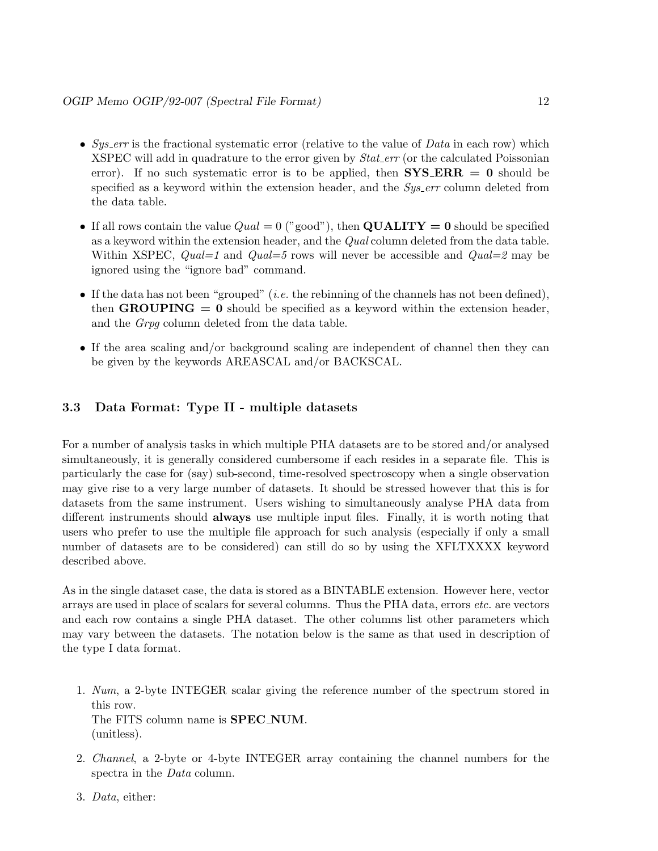- Sys\_err is the fractional systematic error (relative to the value of  $Data$  in each row) which XSPEC will add in quadrature to the error given by *Stat err* (or the calculated Poissonian error). If no such systematic error is to be applied, then  ${\rm SYS\_ERR} = 0$  should be specified as a keyword within the extension header, and the Sys err column deleted from the data table.
- If all rows contain the value  $Qual = 0$  ("good"), then **QUALITY** = 0 should be specified as a keyword within the extension header, and the *Qual* column deleted from the data table. Within XSPEC,  $Qual=1$  and  $Qual=5$  rows will never be accessible and  $Qual=2$  may be ignored using the "ignore bad" command.
- If the data has not been "grouped" (*i.e.* the rebinning of the channels has not been defined), then **GROUPING** = 0 should be specified as a keyword within the extension header, and the Grpg column deleted from the data table.
- If the area scaling and/or background scaling are independent of channel then they can be given by the keywords AREASCAL and/or BACKSCAL.

#### 3.3 Data Format: Type II - multiple datasets

For a number of analysis tasks in which multiple PHA datasets are to be stored and/or analysed simultaneously, it is generally considered cumbersome if each resides in a separate file. This is particularly the case for (say) sub-second, time-resolved spectroscopy when a single observation may give rise to a very large number of datasets. It should be stressed however that this is for datasets from the same instrument. Users wishing to simultaneously analyse PHA data from different instruments should always use multiple input files. Finally, it is worth noting that users who prefer to use the multiple file approach for such analysis (especially if only a small number of datasets are to be considered) can still do so by using the XFLTXXXX keyword described above.

As in the single dataset case, the data is stored as a BINTABLE extension. However here, vector arrays are used in place of scalars for several columns. Thus the PHA data, errors etc. are vectors and each row contains a single PHA dataset. The other columns list other parameters which may vary between the datasets. The notation below is the same as that used in description of the type I data format.

- 1. Num, a 2-byte INTEGER scalar giving the reference number of the spectrum stored in this row. The FITS column name is **SPEC\_NUM**. (unitless).
- 2. Channel, a 2-byte or 4-byte INTEGER array containing the channel numbers for the spectra in the *Data* column.
- 3. Data, either: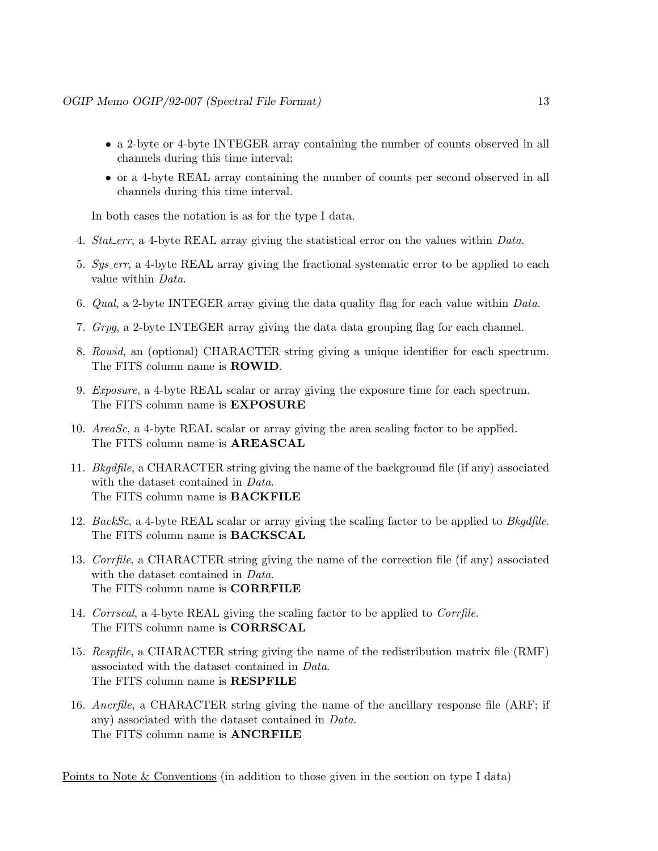- a 2-byte or 4-byte INTEGER array containing the number of counts observed in all channels during this time interval;
- or a 4-byte REAL array containing the number of counts per second observed in all channels during this time interval.

In both cases the notation is as for the type I data.

- 4. Stat err, a 4-byte REAL array giving the statistical error on the values within Data.
- 5. Sys err, a 4-byte REAL array giving the fractional systematic error to be applied to each value within Data.
- 6. Qual, a 2-byte INTEGER array giving the data quality flag for each value within Data.
- 7. Grpg, a 2-byte INTEGER array giving the data data grouping flag for each channel.
- 8. Rowid, an (optional) CHARACTER string giving a unique identifier for each spectrum. The FITS column name is ROWID.
- 9. Exposure, a 4-byte REAL scalar or array giving the exposure time for each spectrum. The FITS column name is EXPOSURE
- 10. AreaSc, a 4-byte REAL scalar or array giving the area scaling factor to be applied. The FITS column name is AREASCAL
- 11. Bkgdfile, a CHARACTER string giving the name of the background file (if any) associated with the dataset contained in *Data*. The FITS column name is BACKFILE
- 12. BackSc, a 4-byte REAL scalar or array giving the scaling factor to be applied to Bkgdfile. The FITS column name is BACKSCAL
- 13. Corrfile, a CHARACTER string giving the name of the correction file (if any) associated with the dataset contained in *Data*. The FITS column name is CORRFILE
- 14. Corrscal, a 4-byte REAL giving the scaling factor to be applied to Corrfile. The FITS column name is CORRSCAL
- 15. Respfile, a CHARACTER string giving the name of the redistribution matrix file (RMF) associated with the dataset contained in Data. The FITS column name is RESPFILE
- 16. Ancrfile, a CHARACTER string giving the name of the ancillary response file (ARF; if any) associated with the dataset contained in Data. The FITS column name is ANCRFILE

Points to Note & Conventions (in addition to those given in the section on type I data)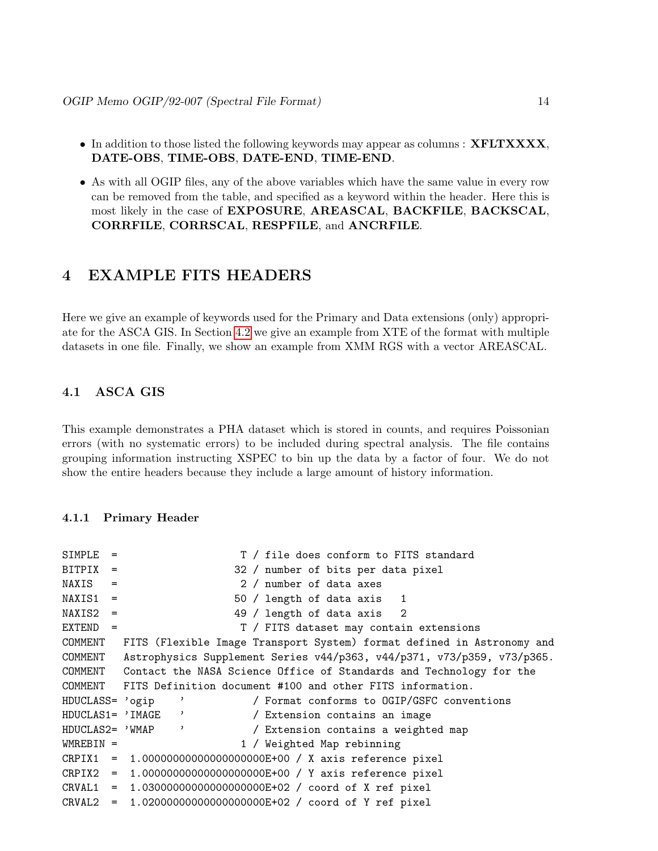- In addition to those listed the following keywords may appear as columns : **XFLTXXXX**, DATE-OBS, TIME-OBS, DATE-END, TIME-END.
- As with all OGIP files, any of the above variables which have the same value in every row can be removed from the table, and specified as a keyword within the header. Here this is most likely in the case of EXPOSURE, AREASCAL, BACKFILE, BACKSCAL, CORRFILE, CORRSCAL, RESPFILE, and ANCRFILE.

### 4 EXAMPLE FITS HEADERS

Here we give an example of keywords used for the Primary and Data extensions (only) appropriate for the ASCA GIS. In Section [4.2](#page-15-0) we give an example from XTE of the format with multiple datasets in one file. Finally, we show an example from XMM RGS with a vector AREASCAL.

#### 4.1 ASCA GIS

This example demonstrates a PHA dataset which is stored in counts, and requires Poissonian errors (with no systematic errors) to be included during spectral analysis. The file contains grouping information instructing XSPEC to bin up the data by a factor of four. We do not show the entire headers because they include a large amount of history information.

#### 4.1.1 Primary Header

```
SIMPLE = T / file does conform to FITS standard
BITPIX = 32 / number of bits per data pixel
NAXIS = 2 / number of data axesNAXIS1 = 50 / length of data axis 1NAXIS2 = 49 / length of data axis 2EXTEND = T / FITS dataset may contain extensions
COMMENT FITS (Flexible Image Transport System) format defined in Astronomy and
COMMENT Astrophysics Supplement Series v44/p363, v44/p371, v73/p359, v73/p365.
COMMENT Contact the NASA Science Office of Standards and Technology for the
COMMENT FITS Definition document #100 and other FITS information.
HDUCLASS= 'ogip ' / Format conforms to OGIP/GSFC conventions
HDUCLAS1= 'IMAGE ' / Extension contains an image
HDUCLAS2= 'WMAP ' / Extension contains a weighted map
WMREBIN = 1 / Weighted Map rebinning
CRPIX1 = 1.00000000000000000000E+00 / X axis reference pixel
CRPIX2 = 1.00000000000000000000E+00 / Y axis reference pixel
CRVAL1 = 1.03000000000000000000E+02 / coord of X ref pixel
CRVAL2 = 1.02000000000000000000E+02 / coord of Y ref pixel
```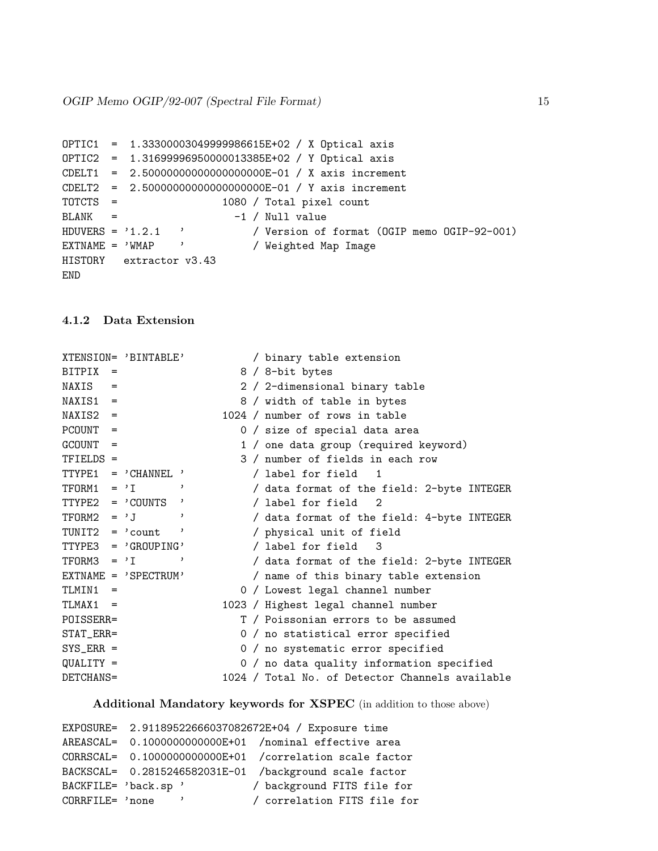```
OPTIC1 = 1.33300003049999986615E+02 / X Optical axis
OPTIC2 = 1.31699996950000013385E+02 / Y Optical axis
CDELT1 = 2.50000000000000000000E-01 / X axis increment
CDELT2 = 2.50000000000000000000E-01 / Y axis increment
TOTCTS = 1080 / Total pixel count
BLANK = -1 / Null value
HDUVERS = '1.2.1 ' / Version of format (OGIP memo OGIP-92-001)
EXTNAME = 'WMAP ' / Weighted Map Image
HISTORY extractor v3.43
END
```
#### 4.1.2 Data Extension

```
XTENSION= 'BINTABLE' / binary table extension
BITPIX = 8 / 8 - bit bytesNAXIS = 2 / 2-dimensional binary table
NAXIS1 = 8 / width of table in bytes
NAXIS2 = 1024 / number of rows in tablePCOUNT = 0 / size of special data area
GCOUNT = 1 / one data group (required keyword)
TFIELDS = 3 / number of fields in each row
TTYPE1 = 'CHANNEL ' / label for field 1
TFORM1 = 'I ' ' / data format of the field: 2-byte INTEGER
TTYPE2 = 'COUNTS ' / label for field 2
TFORM2 = 'J \hspace{1cm} ' / data format of the field: 4-byte INTEGER
TUNIT2 = 'count ' / physical unit of field
TTYPE3 = 'GROUPING' / label for field 3
TTYPE2 = 'COUNTS'<br>
TTYPE2 = 'COUNTS' / label for field 2<br>
TFORM2 = 'J' / data format of the field: 4-byte INTEGER<br>
TUNIT2 = 'count ' / physical unit of field<br>
TTYPE3 = 'GROUPING' / label for field 3<br>
TFORM3 = 'I' , / data 
EXTNAME = 'SPECTRUM' / name of this binary table extension
TLMIN1 = 0 / Lowest legal channel number
TLMAX1 = 1023 / Highest legal channel number
POISSERR= T / Poissonian errors to be assumed
STAT_ERR= 0 / no statistical error specified
SYS_ERR = 0 / no systematic error specified
QUALITY = 0 / no data quality information specified
DETCHANS= 1024 / Total No. of Detector Channels available
```
#### Additional Mandatory keywords for XSPEC (in addition to those above)

```
EXPOSURE= 2.91189522666037082672E+04 / Exposure time
AREASCAL= 0.1000000000000E+01 /nominal effective area
CORRSCAL= 0.1000000000000E+01 /correlation scale factor
BACKSCAL= 0.2815246582031E-01 /background scale factor
BACKFILE= 'back.sp ' / background FITS file for
CORRFILE= 'none ' / correlation FITS file for
```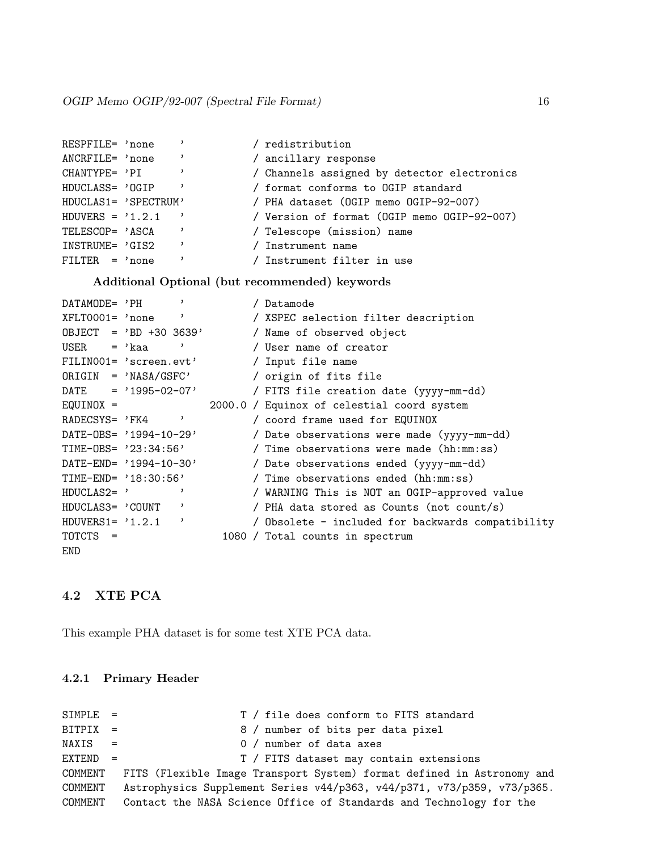| RESPFILE= 'none      |                          |  | / redistribution                            |
|----------------------|--------------------------|--|---------------------------------------------|
| ANCRFILE= 'none      |                          |  | / ancillary response                        |
| CHANTYPE= 'PI        |                          |  | / Channels assigned by detector electronics |
| HDUCLASS= 'OGIP      |                          |  | / format conforms to OGIP standard          |
| HDUCLAS1= 'SPECTRUM' |                          |  | / PHA dataset (OGIP memo OGIP-92-007)       |
| $HDUVERS = '1.2.1$   |                          |  | / Version of format (OGIP memo OGIP-92-007) |
| TELESCOP= 'ASCA      |                          |  | / Telescope (mission) name                  |
| INSTRUME= 'GIS2      | $\overline{\phantom{a}}$ |  | / Instrument name                           |
| $FILTER = 'none$     |                          |  | / Instrument filter in use                  |

Additional Optional (but recommended) keywords

| DATAMODE= 'PH        | $\mathbf{v}$                 | / Datamode                                        |
|----------------------|------------------------------|---------------------------------------------------|
| XFLT0001= 'none      |                              | / XSPEC selection filter description              |
|                      | $0$ BJECT = 'BD +30 3639'    | / Name of observed object                         |
| $\text{USER}$ = 'kaa |                              | / User name of creator                            |
|                      | FILINO01= 'screen.evt'       | / Input file name                                 |
|                      | $ORIGIN = 'NASA/GSFC'$       | / origin of fits file                             |
|                      | $\text{DATE} = '1995-02-07'$ | / FITS file creation date (yyyy-mm-dd)            |
| $EQUINOX =$          |                              | 2000.0 / Equinox of celestial coord system        |
|                      | RADECSYS= $'FK4$             | / coord frame used for EQUINOX                    |
|                      | $DATA-OBS = '1994-10-29'$    | / Date observations were made (yyyy-mm-dd)        |
|                      | $TIME-OBS = '23:34:56'$      | Time observations were made (hh:mm:ss)            |
|                      | DATE-END= $'1994-10-30'$     | / Date observations ended (yyyy-mm-dd)            |
|                      | $TIME-END= '18:30:56'$       | Time observations ended (hh:mm:ss)                |
| $HDUCLAS2 = ?$       |                              | / WARNING This is NOT an OGIP-approved value      |
| HDUCLAS3= 'COUNT     | ,                            | / PHA data stored as Counts (not count/s)         |
| $HDUVERS1 = ?1.2.1$  | ,                            | / Obsolete - included for backwards compatibility |
| TOTCTS =             |                              | 1080 / Total counts in spectrum                   |
| END                  |                              |                                                   |

#### <span id="page-15-0"></span>4.2 XTE PCA

This example PHA dataset is for some test XTE PCA data.

#### 4.2.1 Primary Header

```
SIMPLE = T / file does conform to FITS standard
BITPIX = 8 / number of bits per data pixel
NAXIS = 0 / number of data axes
EXTEND = T / FITS dataset may contain extensions
COMMENT FITS (Flexible Image Transport System) format defined in Astronomy and
COMMENT Astrophysics Supplement Series v44/p363, v44/p371, v73/p359, v73/p365.
COMMENT Contact the NASA Science Office of Standards and Technology for the
```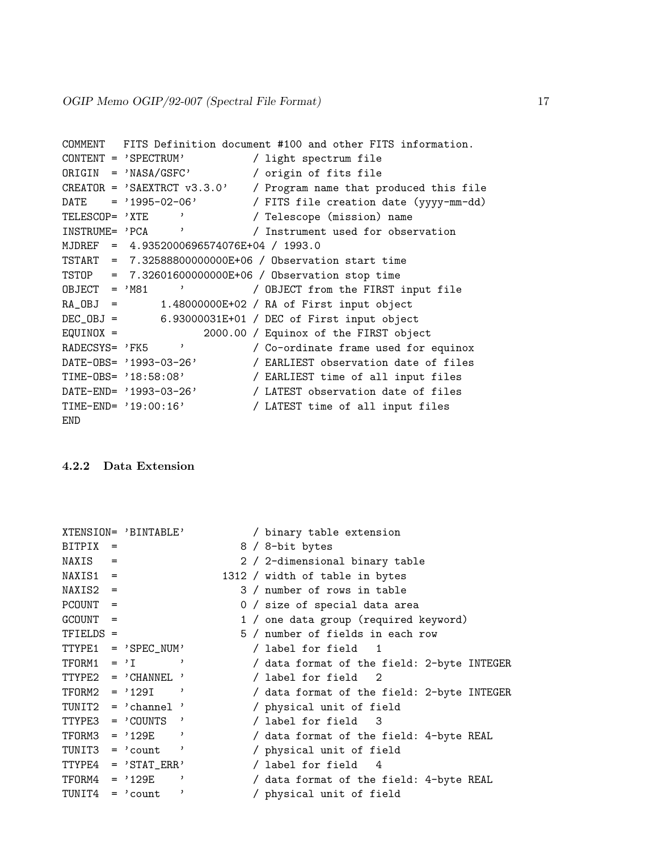```
COMMENT FITS Definition document #100 and other FITS information.
CONTENT = 'SPECTRUM' / light spectrum file
ORIGIN = 'NASA/GSFC' / origin of fits file
CREATOR = 'SAEXTRCT v3.3.0' / Program name that produced this file
DATE = '1995-02-06' / FITS file creation date (yyyy-mm-dd)
TELESCOP= 'XTE ' / Telescope (mission) name
INSTRUME= 'PCA ' / Instrument used for observation
MJDREF = 4.9352000696574076E+04 / 1993.0
TSTART = 7.32588800000000E+06 / Observation start time
TSTOP = 7.32601600000000E+06 / Observation stop time
OBJECT = 'M81 ' / OBJECT from the FIRST input file
RA_OBJ = 1.48000000E+02 / RA of First input objectDEC_OBJ = 6.93000031E+01 / DEC of First input object<br>EQUINOX = 2000.00 / Equinox of the FIRST obje
                     2000.00 / Equinox of the FIRST object
RADECSYS= 'FK5 ' / Co-ordinate frame used for equinox
DATE-OBS= '1993-03-26' / EARLIEST observation date of files
TIME-OBS= '18:58:08' / EARLIEST time of all input files
DATE-END= '1993-03-26' / LATEST observation date of files
TIME-END= '19:00:16' / LATEST time of all input files
END
```
#### 4.2.2 Data Extension

|                   | XTENSION= 'BINTABLE'             |   | / binary table extension                   |
|-------------------|----------------------------------|---|--------------------------------------------|
| $BITPLY =$        |                                  |   | 8 / 8-bit bytes                            |
| $NAXIS =$         |                                  |   | 2 / 2-dimensional binary table             |
| $NAXIS1 =$        |                                  |   | 1312 / width of table in bytes             |
| $NAXIS2 =$        |                                  |   | 3 / number of rows in table                |
| $PCOUNT =$        |                                  |   | 0 / size of special data area              |
| $GCOUNT =$        |                                  |   | 1 / one data group (required keyword)      |
| TFIELDS =         |                                  |   | 5 / number of fields in each row           |
|                   | $TTYPE1 = 'SPEC_NUM'$            |   | / label for field 1                        |
|                   | $TFORM1 = 'I$                    |   | / data format of the field: 2-byte INTEGER |
|                   | $TTYPE2 = 'CHANNEL'$             |   | / label for field 2                        |
|                   | $TFORM2 = '129I'$                |   | / data format of the field: 2-byte INTEGER |
|                   | TUNIT2 = $'$ channel '           |   | / physical unit of field                   |
|                   | $TTYPE3 = 'COUNTS'$              |   | / label for field 3                        |
|                   | $TFORM3 = '129E'$                |   | / data format of the field: 4-byte REAL    |
|                   | TUNIT3 = $\prime$ count $\prime$ |   | / physical unit of field                   |
|                   | $TTYPE4 = 'STAT_ERR'$            |   | / label for field 4                        |
|                   | $TFORM4 = '129E'$                |   | / data format of the field: 4-byte REAL    |
| $TUNIT4 = 'count$ |                                  | , | / physical unit of field                   |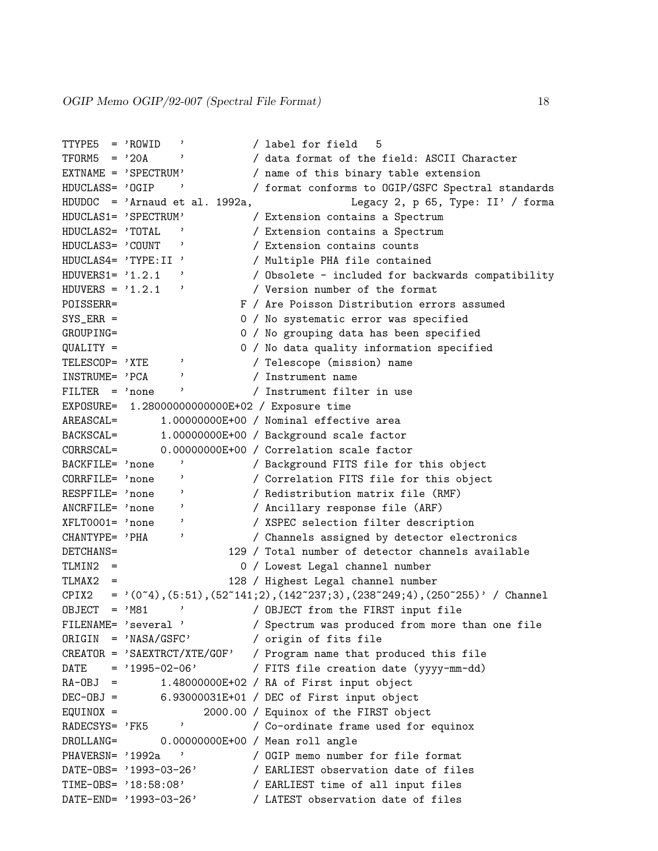```
TTYPE5 = 'ROWID ' / label for field 5
TFORM5 = '20A ' / data format of the field: ASCII Character
EXTNAME = 'SPECTRUM' / name of this binary table extension
HDUCLASS= 'OGIP ' / format conforms to OGIP/GSFC Spectral standards
HDUDOC = 'Arnaud et al. 1992a, Legacy 2, p 65, Type: II' / forma
HDUCLAS1= 'SPECTRUM' / Extension contains a Spectrum
HDUCLAS2= 'TOTAL ' / Extension contains a Spectrum
HDUCLAS3= 'COUNT ' / Extension contains counts
HDUCLAS4= 'TYPE:II ' / Multiple PHA file contained
HDUVERS1= '1.2.1 ' / Obsolete - included for backwards compatibility
HDUVERS = '1.2.1 ' / Version number of the format
POISSERR= F / Are Poisson Distribution errors assumed
SYS_ERR = 0 / No systematic error was specified
GROUPING= 0 / No grouping data has been specified
QUALITY = 0 / No data quality information specified
TELESCOP= 'XTE ' / Telescope (mission) name
INSTRUME= 'PCA ' / Instrument name
FILTER = 'none ' / Instrument filter in use
EXPOSURE= 1.28000000000000E+02 / Exposure time
AREASCAL= 1.00000000E+00 / Nominal effective area
BACKSCAL= 1.00000000E+00 / Background scale factor<br>CORRSCAL= 0.00000000E+00 / Correlation scale factor
             0.00000000E+00 / Correlation scale factor
BACKFILE= 'none ' / Background FITS file for this object
CORRFILE= 'none ' / Correlation FITS file for this object
RESPFILE= 'none ' / Redistribution matrix file (RMF)
ANCRFILE= 'none ' / Ancillary response file (ARF)
XFLT0001= 'none ' / XSPEC selection filter description
CHANTYPE= 'PHA ' / Channels assigned by detector electronics
DETCHANS= 129 / Total number of detector channels available
TLMIN2 = 0 / Lowest Legal channel number
TLMAX2 = 128 / Highest Legal channel number
CPIX2 = '(0^4), (5:51), (52~141;2), (142~237;3), (238~249;4), (250~255)' / Channel
OBJECT = 'M81 ' / OBJECT from the FIRST input file
FILENAME= 'several ' / Spectrum was produced from more than one file
ORIGIN = 'NASA/GSFC' / origin of fits file
CREATOR = 'SAEXTRCT/XTE/GOF' / Program name that produced this file
DATE = '1995-02-06' / FITS file creation date (yyyy-mm-dd)
RA-OBJ = 1.48000000E+02 / RA of First input object
DEC-OBJ = 6.93000031E+01 / DEC of First input object
EQUINOX = 2000.00 / Equinox of the FIRST object
RADECSYS= 'FK5 ' / Co-ordinate frame used for equinox
DROLLANG= 0.00000000E+00 / Mean roll angle
PHAVERSN= '1992a ' / OGIP memo number for file format
DATE-OBS= '1993-03-26' / EARLIEST observation date of files
TIME-OBS= '18:58:08' / EARLIEST time of all input files
DATE-END= '1993-03-26' / LATEST observation date of files
```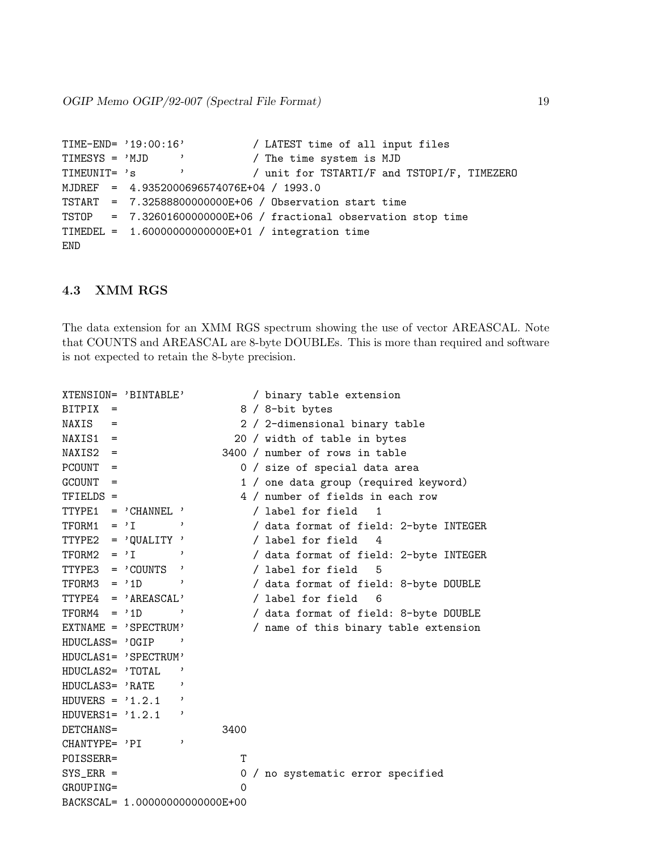OGIP Memo OGIP/92-007 (Spectral File Format) 19

```
TIME-END= '19:00:16' / LATEST time of all input files
TIMESYS = 'MJD ' / The time system is MJD
TIMEUNIT= 's ' / unit for TSTARTI/F and TSTOPI/F, TIMEZERO
MJDREF = 4.9352000696574076E+04 / 1993.0
TSTART = 7.32588800000000E+06 / Observation start time
TSTOP = 7.32601600000000E+06 / fractional observation stop time
TIMEDEL = 1.60000000000000E+01 / integration time
END
```
#### 4.3 XMM RGS

The data extension for an XMM RGS spectrum showing the use of vector AREASCAL. Note that COUNTS and AREASCAL are 8-byte DOUBLEs. This is more than required and software is not expected to retain the 8-byte precision.

```
XTENSION= 'BINTABLE' / binary table extension
BITPIX = 8 / 8-bit bytesNAXIS = 2 / 2-dimensional binary table
NAXIS1 = 20 / width of table in bytes
NAXIS2 = 3400 / number of rows in table
PCOUNT = 0 / size of special data area
GCOUNT = 1 / one data group (required keyword)
TFIELDS = 4 / number of fields in each row
TTYPE1 = 'CHANNEL ' / label for field 1
TFORM1 = 'I' ' / data format of field: 2-byte INTEGER
TTYPE2 = 'QUALITY ' / label for field 4
TFORM2 = 'I ' ' / data format of field: 2-byte INTEGER
TTYPE3 = 'COUNTS ' / label for field 5
TFORM3 = '1D ' / data format of field: 8-byte DOUBLE
TTYPE4 = 'AREASCAL' / label for field 6
TFORM4 = '1D ' / data format of field: 8-byte DOUBLE
EXTNAME = 'SPECTRUM' / name of this binary table extension
HDUCLASS= 'OGIP '
HDUCLAS1= 'SPECTRUM'
HDUCLAS2= 'TOTAL '
HDUCLAS3= 'RATE '
HDUVERS = '1.2.1'HDUVERS1= '1.2.1 '
DETCHANS= 3400
CHANTYPE= 'PI '
POISSERR= T
SYS_ERR = 0 / no systematic error specified
GROUPING= 0
BACKSCAL= 1.00000000000000E+00
```